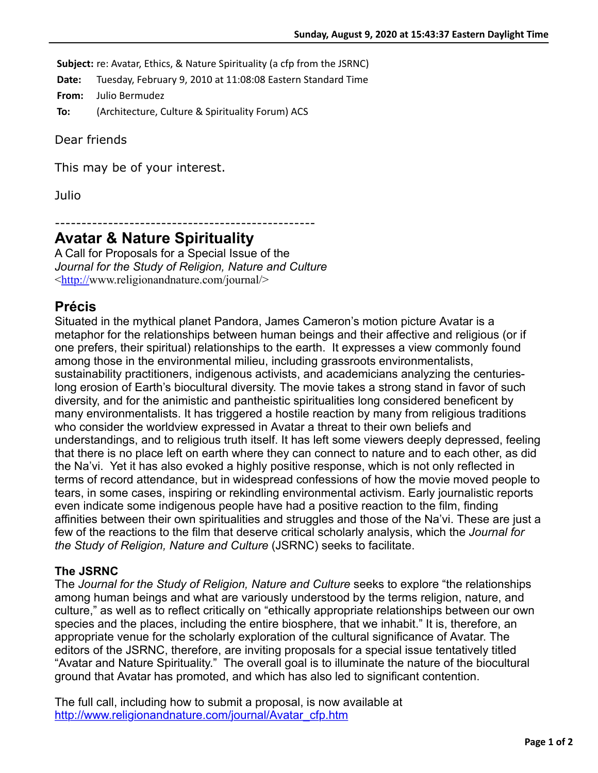**Subject:** re: Avatar, Ethics, & Nature Spirituality (a cfp from the JSRNC)

**Date:** Tuesday, February 9, 2010 at 11:08:08 Eastern Standard Time

**From:** Julio Bermudez

**To:** (Architecture, Culture & Spirituality Forum) ACS

Dear friends

This may be of your interest.

Julio

-------------------------------------------------

## **Avatar & Nature Spirituality**

A Call for Proposals for a Special Issue of the *Journal for the Study of Religion, Nature and Culture*  $\frac{\text{thttp://www.religionandnature.com/journal/}}{}$  $\frac{\text{thttp://www.religionandnature.com/journal/}}{}$  $\frac{\text{thttp://www.religionandnature.com/journal/}}{}$ 

## **Précis**

Situated in the mythical planet Pandora, James Cameron's motion picture Avatar is a metaphor for the relationships between human beings and their affective and religious (or if one prefers, their spiritual) relationships to the earth. It expresses a view commonly found among those in the environmental milieu, including grassroots environmentalists, sustainability practitioners, indigenous activists, and academicians analyzing the centurieslong erosion of Earth's biocultural diversity. The movie takes a strong stand in favor of such diversity, and for the animistic and pantheistic spiritualities long considered beneficent by many environmentalists. It has triggered a hostile reaction by many from religious traditions who consider the worldview expressed in Avatar a threat to their own beliefs and understandings, and to religious truth itself. It has left some viewers deeply depressed, feeling that there is no place left on earth where they can connect to nature and to each other, as did the Na'vi. Yet it has also evoked a highly positive response, which is not only reflected in terms of record attendance, but in widespread confessions of how the movie moved people to tears, in some cases, inspiring or rekindling environmental activism. Early journalistic reports even indicate some indigenous people have had a positive reaction to the film, finding affinities between their own spiritualities and struggles and those of the Na'vi. These are just a few of the reactions to the film that deserve critical scholarly analysis, which the *Journal for the Study of Religion, Nature and Culture* (JSRNC) seeks to facilitate.

## **The JSRNC**

The *Journal for the Study of Religion, Nature and Culture* seeks to explore "the relationships among human beings and what are variously understood by the terms religion, nature, and culture," as well as to reflect critically on "ethically appropriate relationships between our own species and the places, including the entire biosphere, that we inhabit." It is, therefore, an appropriate venue for the scholarly exploration of the cultural significance of Avatar. The editors of the JSRNC, therefore, are inviting proposals for a special issue tentatively titled "Avatar and Nature Spirituality." The overall goal is to illuminate the nature of the biocultural ground that Avatar has promoted, and which has also led to significant contention.

The full call, including how to submit a proposal, is now available at [http://www.religionandnature.com/journal/Avatar\\_cfp.htm](http://www.religionandnature.com/journal/Avatar_cfp.htm)